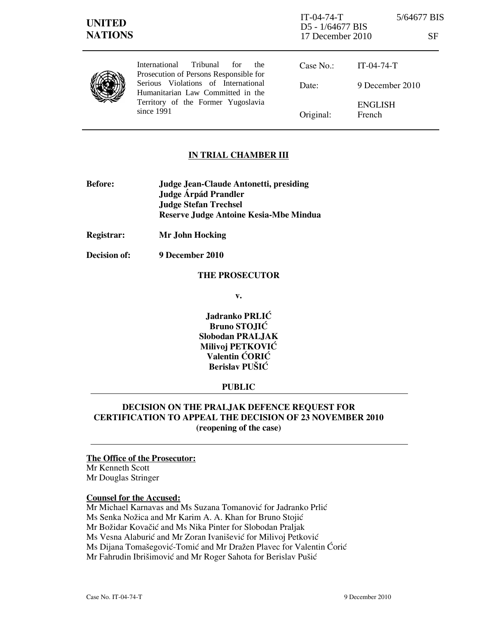| <b>UNITED</b><br><b>NATIONS</b> |                                                                                                                                                                                                                    | $IT-04-74-T$<br>D5 - 1/64677 BIS<br>17 December 2010 |                                 | 5/64677 BIS<br>SF |
|---------------------------------|--------------------------------------------------------------------------------------------------------------------------------------------------------------------------------------------------------------------|------------------------------------------------------|---------------------------------|-------------------|
|                                 | International<br>Tribunal<br>for<br>the.<br>Prosecution of Persons Responsible for<br>Serious Violations of International<br>Humanitarian Law Committed in the<br>Territory of the Former Yugoslavia<br>since 1991 | Case No.:                                            | $IT-04-74-T$                    |                   |
|                                 |                                                                                                                                                                                                                    | Date:                                                | 9 December 2010                 |                   |
|                                 |                                                                                                                                                                                                                    | Original:                                            | <b>ENGLISH</b><br><b>French</b> |                   |

# IN TRIAL CHAMBER III

- Before: Judge Jean-Claude Antonetti, presiding Judge Árpád Prandler Judge Stefan Trechsel Reserve Judge Antoine Kesia-Mbe Mindua
- Registrar: Mr John Hocking

Decision of: 9 December 2010

### THE PROSECUTOR

v.

Jadranko PRLIĆ Bruno STOJIĆ Slobodan PRALJAK Milivoj PETKOVIĆ Valentin ĆORIĆ Berislav PUŠIĆ

## PUBLIC

# DECISION ON THE PRALJAK DEFENCE REQUEST FOR CERTIFICATION TO APPEAL THE DECISION OF 23 NOVEMBER 2010 (reopening of the case)

## The Office of the Prosecutor:

Mr Kenneth Scott Mr Douglas Stringer

## Counsel for the Accused:

Mr Michael Karnavas and Ms Suzana Tomanović for Jadranko Prlić Ms Senka Nožica and Mr Karim A. A. Khan for Bruno Stojić Mr Božidar Kovačić and Ms Nika Pinter for Slobodan Praljak Ms Vesna Alaburić and Mr Zoran Ivanišević for Milivoj Petković Ms Dijana Tomašegović-Tomić and Mr Dražen Plavec for Valentin Ćorić Mr Fahrudin Ibrišimović and Mr Roger Sahota for Berislav Pušić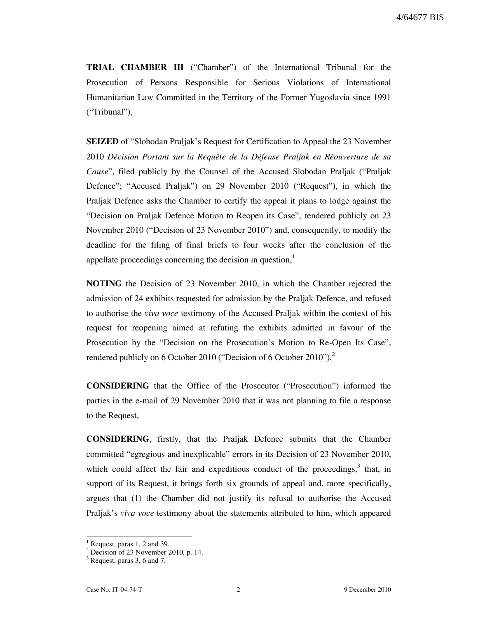TRIAL CHAMBER III ("Chamber") of the International Tribunal for the Prosecution of Persons Responsible for Serious Violations of International Humanitarian Law Committed in the Territory of the Former Yugoslavia since 1991 ("Tribunal"),

SEIZED of "Slobodan Praljak's Request for Certification to Appeal the 23 November 2010 Décision Portant sur la Requête de la Défense Praljak en Réouverture de sa Cause", filed publicly by the Counsel of the Accused Slobodan Praljak ("Praljak Defence"; "Accused Praljak") on 29 November 2010 ("Request"), in which the Praljak Defence asks the Chamber to certify the appeal it plans to lodge against the "Decision on Praljak Defence Motion to Reopen its Case", rendered publicly on 23 November 2010 ("Decision of 23 November 2010") and, consequently, to modify the deadline for the filing of final briefs to four weeks after the conclusion of the appellate proceedings concerning the decision in question, $\frac{1}{1}$ 

NOTING the Decision of 23 November 2010, in which the Chamber rejected the admission of 24 exhibits requested for admission by the Praljak Defence, and refused to authorise the viva voce testimony of the Accused Praljak within the context of his request for reopening aimed at refuting the exhibits admitted in favour of the Prosecution by the "Decision on the Prosecution's Motion to Re-Open Its Case", rendered publicly on 6 October 2010 ("Decision of 6 October 2010"), $^2$ 

CONSIDERING that the Office of the Prosecutor ("Prosecution") informed the parties in the e-mail of 29 November 2010 that it was not planning to file a response to the Request,

CONSIDERING, firstly, that the Praljak Defence submits that the Chamber committed "egregious and inexplicable" errors in its Decision of 23 November 2010, which could affect the fair and expeditious conduct of the proceedings, $3$  that, in support of its Request, it brings forth six grounds of appeal and, more specifically, argues that (1) the Chamber did not justify its refusal to authorise the Accused Praljak's viva voce testimony about the statements attributed to him, which appeared

 $\overline{a}$ 

<sup>1</sup> Request, paras 1, 2 and 39.

<sup>2</sup> Decision of 23 November 2010, p. 14.

 $3$  Request, paras 3, 6 and 7.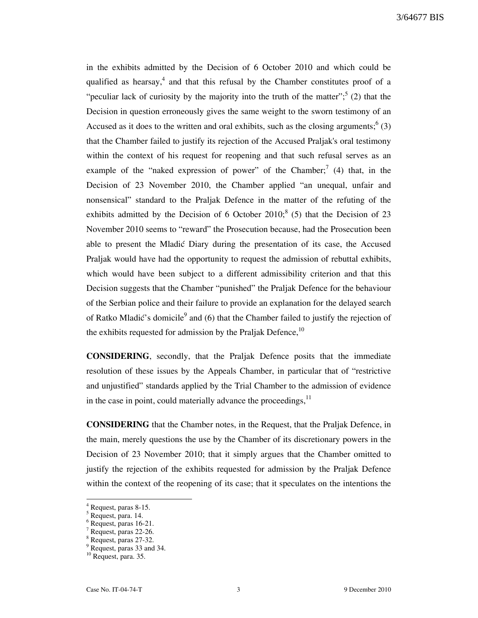in the exhibits admitted by the Decision of 6 October 2010 and which could be qualified as hearsay,<sup>4</sup> and that this refusal by the Chamber constitutes proof of a "peculiar lack of curiosity by the majority into the truth of the matter";<sup>5</sup> (2) that the Decision in question erroneously gives the same weight to the sworn testimony of an Accused as it does to the written and oral exhibits, such as the closing arguments;  $(3)$ that the Chamber failed to justify its rejection of the Accused Praljak's oral testimony within the context of his request for reopening and that such refusal serves as an example of the "naked expression of power" of the Chamber;<sup>7</sup> (4) that, in the Decision of 23 November 2010, the Chamber applied "an unequal, unfair and nonsensical" standard to the Praljak Defence in the matter of the refuting of the exhibits admitted by the Decision of 6 October  $2010$ ;  $(5)$  that the Decision of 23 November 2010 seems to "reward" the Prosecution because, had the Prosecution been able to present the Mladić Diary during the presentation of its case, the Accused Praljak would have had the opportunity to request the admission of rebuttal exhibits, which would have been subject to a different admissibility criterion and that this Decision suggests that the Chamber "punished" the Praljak Defence for the behaviour of the Serbian police and their failure to provide an explanation for the delayed search of Ratko Mladić's domicile<sup>9</sup> and (6) that the Chamber failed to justify the rejection of the exhibits requested for admission by the Praljak Defence,  $10$ 

CONSIDERING, secondly, that the Praljak Defence posits that the immediate resolution of these issues by the Appeals Chamber, in particular that of "restrictive and unjustified" standards applied by the Trial Chamber to the admission of evidence in the case in point, could materially advance the proceedings, $11$ 

CONSIDERING that the Chamber notes, in the Request, that the Praljak Defence, in the main, merely questions the use by the Chamber of its discretionary powers in the Decision of 23 November 2010; that it simply argues that the Chamber omitted to justify the rejection of the exhibits requested for admission by the Praljak Defence within the context of the reopening of its case; that it speculates on the intentions the

 $\overline{\phantom{a}}$ 

<sup>4</sup> Request, paras 8-15.

<sup>5</sup> Request, para. 14.

<sup>6</sup> Request, paras 16-21.

<sup>7</sup> Request, paras 22-26.

<sup>8</sup> Request, paras 27-32.

<sup>9</sup> Request, paras 33 and 34.

<sup>&</sup>lt;sup>10</sup> Request, para. 35.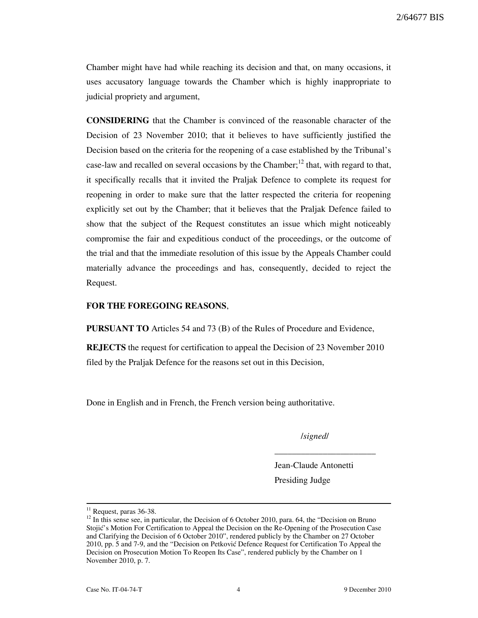Chamber might have had while reaching its decision and that, on many occasions, it uses accusatory language towards the Chamber which is highly inappropriate to judicial propriety and argument,

CONSIDERING that the Chamber is convinced of the reasonable character of the Decision of 23 November 2010; that it believes to have sufficiently justified the Decision based on the criteria for the reopening of a case established by the Tribunal's case-law and recalled on several occasions by the Chamber;<sup>12</sup> that, with regard to that, it specifically recalls that it invited the Praljak Defence to complete its request for reopening in order to make sure that the latter respected the criteria for reopening explicitly set out by the Chamber; that it believes that the Praljak Defence failed to show that the subject of the Request constitutes an issue which might noticeably compromise the fair and expeditious conduct of the proceedings, or the outcome of the trial and that the immediate resolution of this issue by the Appeals Chamber could materially advance the proceedings and has, consequently, decided to reject the Request.

### FOR THE FOREGOING REASONS,

PURSUANT TO Articles 54 and 73 (B) of the Rules of Procedure and Evidence,

REJECTS the request for certification to appeal the Decision of 23 November 2010 filed by the Praljak Defence for the reasons set out in this Decision,

Done in English and in French, the French version being authoritative.

/signed/

\_\_\_\_\_\_\_\_\_\_\_\_\_\_\_\_\_\_\_\_\_\_\_

Jean-Claude Antonetti Presiding Judge

 $\overline{a}$ 

 $11$  Request, paras 36-38.

<sup>&</sup>lt;sup>12</sup> In this sense see, in particular, the Decision of 6 October 2010, para. 64, the "Decision on Bruno Stojić's Motion For Certification to Appeal the Decision on the Re-Opening of the Prosecution Case and Clarifying the Decision of 6 October 2010", rendered publicly by the Chamber on 27 October 2010, pp. 5 and 7-9, and the "Decision on Petković Defence Request for Certification To Appeal the Decision on Prosecution Motion To Reopen Its Case", rendered publicly by the Chamber on 1 November 2010, p. 7.